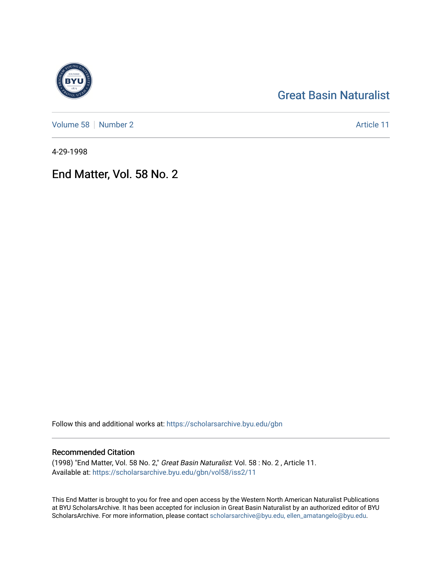## [Great Basin Naturalist](https://scholarsarchive.byu.edu/gbn)

[Volume 58](https://scholarsarchive.byu.edu/gbn/vol58) [Number 2](https://scholarsarchive.byu.edu/gbn/vol58/iss2) Article 11

4-29-1998

End Matter, Vol. 58 No. 2

Follow this and additional works at: [https://scholarsarchive.byu.edu/gbn](https://scholarsarchive.byu.edu/gbn?utm_source=scholarsarchive.byu.edu%2Fgbn%2Fvol58%2Fiss2%2F11&utm_medium=PDF&utm_campaign=PDFCoverPages) 

## Recommended Citation

(1998) "End Matter, Vol. 58 No. 2," Great Basin Naturalist: Vol. 58 : No. 2 , Article 11. Available at: [https://scholarsarchive.byu.edu/gbn/vol58/iss2/11](https://scholarsarchive.byu.edu/gbn/vol58/iss2/11?utm_source=scholarsarchive.byu.edu%2Fgbn%2Fvol58%2Fiss2%2F11&utm_medium=PDF&utm_campaign=PDFCoverPages) 

This End Matter is brought to you for free and open access by the Western North American Naturalist Publications at BYU ScholarsArchive. It has been accepted for inclusion in Great Basin Naturalist by an authorized editor of BYU ScholarsArchive. For more information, please contact [scholarsarchive@byu.edu, ellen\\_amatangelo@byu.edu.](mailto:scholarsarchive@byu.edu,%20ellen_amatangelo@byu.edu)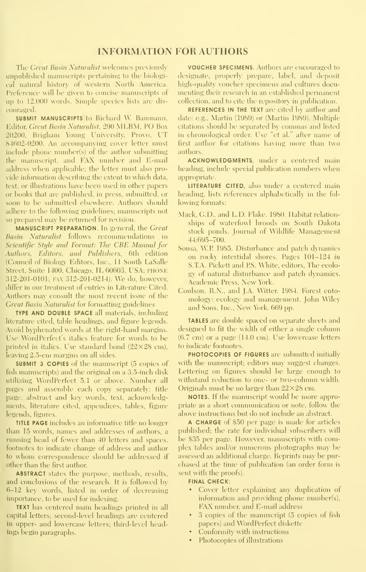### INFORMATION FOR AUTHORS

The Great Basin Naturalist welcomes previously umpublished manuscripts pertaining to the biological natural history of western North America. Preference will be given to concise manuscripts of up to 12,000 words. Simple species lists are discouraged.

**SUBMIT MANUSCRIPTS to Richard W. Baumann,** Editor, Great Basin Saturalist. 290 .\1I.BM. PO Box 20200, Brigham Young Uni\ersit\', Provo, UT 84602-0200. An accompanying cover letter must include phone number(s) of the author submitting the manuscript, and FAX number and E-mail address when applicable; the letter must also provide information describing the extent to which data, text, or illustrations have been used in other papers or books that are published, in press, submitted, or soon to be submitted elsewhere. Authors should adhere to the following guidelines; manuscripts not so prepared may be returned for revision.

MANUSCRIPT PREPARATION. In general, the Great Basin Xattiralist follows reconnnendations in Seientifie Style and Format: The CBE Manual for Authors, Editors, and Publishers, 6th edition (Council of Biology Editors, Inc., 11 South LaSalle Street. Suite 1400, Chicago, IL 60603, USA; PHONE 312-201-0101; FAX 312-201-0214). We do, however, differ in our treatment of entries in Literature Cited. Authors may consult the most recent issue of the Great Basin Naturalist for formatting guidelines

TYPE AND DOUBLE SPACE all materials, including literature cited, table headings, and figure legends. Avoid hyphenated words at the right-hand margins. Use WordPerfect's italics feature for words to be printed in italics. Use standard bond  $(22\times28$  cm), leaving 2.5-cm margins on all sides.

SUBMIT 3 COPIES of the manuscript (5 copies of fish manuscripts) and the original on a 3.5-inch disk utilizing WordPerfect 5.1 or above. Number all pages and assemble each copy separately: title page, abstract and key words, text, acknowledgments, literature cited, appendices, tables, figure legends, figures.

TITLE PAGE includes an informative title no longer than 15 words, names and addresses of authors, a nmning head of fewer than 40 letters and spaces, footnotes to indicate change of address and author to whom correspondence should be addressed if other than the first author

ABSTRACT states the purpose, methods, results, and conclusions of the research. It is followed by 6-12 key words, listed in order of decreasing importance, to be used for indexing.

TEXT has centered main headings printed in all capital letters; second-level headings are centered in upper- and lowercase letters; third-level headings begin paragraphs.

VOUCHER SPECIMENS. Authors are encouraged to designate, properly prepare, label, and deposit high-quality voucher specimens and cultures docu menting their research in an established permanent collection, and to cite the repository in publication.

REFERENCES IN THE TEXT are cited by author and date: e.g., Martin (1989) or (Martin 1989). Multiple citations should be separated by commas and listed in chronological order. Use "et al." after name of first author for citations having more than two authors.

ACKNOWLEDGMENTS, under a centered main heading, include special publication numbers when appropriate.

LITERATURE CITED, also under a centered main heading, lists references alphabetically in the following formats:

- Mack, CD., and L.D. Flake. 1980. Habitat relation ships of waterfowl broods on South Dakota stock ponds. Journal of Wildlife Management 44:695-700.
- Sousa, W.P 1985. Disturbance and patch dynamics on rockv' intertidal shores. Pages 101-124 in S.T.A. Pickett and PS. White, editors, The ecolo gy of natural disturbance and patch dynamics. Academic Press, New York.
- Coulson, R.N., and J.A. Witter. 1984. Forest entomology: ecology and management. John Wiley and Sons, Inc., New York. 669 pp.

TABLES are double spaced on separate sheets and designed to fit the width of either a single column (6.7 cm) or a page (14.0 cm). Use lowercase letters to indicate footnotes.

PHOTOCOPIES OF FIGURES are submitted initially with the manuscript; editors may suggest changes. Lettering on figures should be large enough to withstand reduction to one- or two-column width. Originals must be no larger than  $22\times28$  cm.

NOTES. If the manuscript would be more appropriate as a short communication or note, follow die above instructions but do not include an abstract.

A CHARGE of \$50 per page is made for articles published; the rate for individual subscribers will be \$35 per page. However, manuscripts with complex tables and/or numerous photographs may be assessed an additional charge. Reprints may be pur chased at the time of publication (an order form is sent with the proofs).

#### FINAL CHECK:

- Cover letter explaining any duplication of information and providing phone number(s), FAX number, and E-mail address
- 3 copies of the manuscript (5 copies of fish papers) and W'ordPerfect diskette
- Conformity with instructions
- Photocopies of illustrations